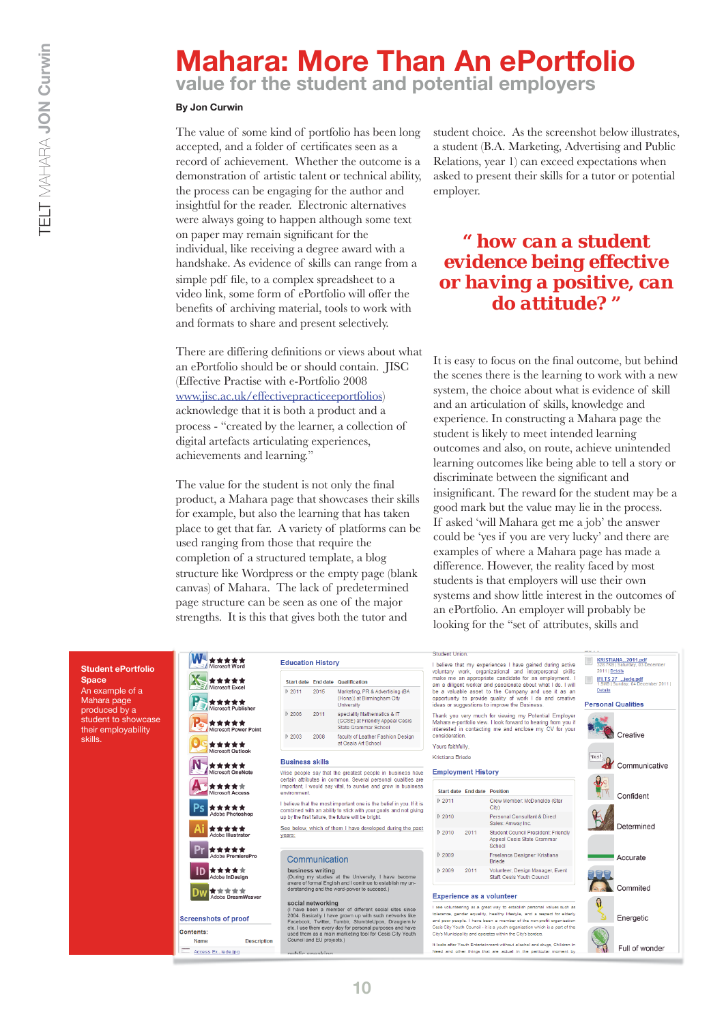# **Mahara: More Than An ePortfolio**

**value for the student and potential employers**

## **By Jon Curwin**

The value of some kind of portfolio has been long accepted, and a folder of certificates seen as a record of achievement. Whether the outcome is a demonstration of artistic talent or technical ability, the process can be engaging for the author and insightful for the reader. Electronic alternatives were always going to happen although some text on paper may remain significant for the individual, like receiving a degree award with a handshake. As evidence of skills can range from a simple pdf file, to a complex spreadsheet to a video link, some form of ePortfolio will offer the benefits of archiving material, tools to work with and formats to share and present selectively.

There are differing definitions or views about what an ePortfolio should be or should contain. JISC (Effective Practise with e-Portfolio 2008 www.jisc.ac.uk/effectivepracticeeportfolios) acknowledge that it is both a product and a process - "created by the learner, a collection of digital artefacts articulating experiences, achievements and learning."

The value for the student is not only the final product, a Mahara page that showcases their skills for example, but also the learning that has taken place to get that far. A variety of platforms can be used ranging from those that require the completion of a structured template, a blog structure like Wordpress or the empty page (blank canvas) of Mahara. The lack of predetermined page structure can be seen as one of the major strengths. It is this that gives both the tutor and

student choice. As the screenshot below illustrates, a student (B.A. Marketing, Advertising and Public Relations, year 1) can exceed expectations when asked to present their skills for a tutor or potential employer.

## *" how can a student evidence being effective or having a positive, can do attitude? "*

It is easy to focus on the final outcome, but behind the scenes there is the learning to work with a new system, the choice about what is evidence of skill and an articulation of skills, knowledge and experience. In constructing a Mahara page the student is likely to meet intended learning outcomes and also, on route, achieve unintended learning outcomes like being able to tell a story or discriminate between the significant and insignificant. The reward for the student may be a good mark but the value may lie in the process. If asked 'will Mahara get me a job' the answer could be 'yes if you are very lucky' and there are examples of where a Mahara page has made a difference. However, the reality faced by most students is that employers will use their own systems and show little interest in the outcomes of an ePortfolio. An employer will probably be looking for the "set of attributes, skills and

### **Student ePortfolio Space**

An example of a Mahara page produced by a student to showcase their employability skills.



Name

Access Ex...iede.jpg

W-

\*\*\*\*\*

|                       |      | Start date End date Qualification                                                      |
|-----------------------|------|----------------------------------------------------------------------------------------|
| D 2011                | 2015 | Marketing, PR & Advertising (BA<br>(Hons)) at Birmingham City<br>University            |
| 2006                  | 2011 | speciality Mathematics & IT<br>(GCSE) at Friendly Appeal Cesis<br>State Grammar School |
| $\triangleright$ 2003 | 2008 | faculty of Leather Fashion Design<br>at Cesis Art School                               |

Wise people say that the greatest people in business have certain attributes in comm on. Several personal qualities ar important. I would say vital, to survive and grow in business environment.

I believe that the most important one is the belief in you. If it is combined with an ability to stick with your goals and not giving<br>up by the first failure, the future will be bright.

See below, which of them I have developed during the past

### Communication

**business writing**<br>(During my studies at the University, I have become<br>aware of formal English and I continue to establish my un-<br>derstanding and the word-power to succeed.)

social networking<br>
(1 have been a member of different social sites since<br>
2004. Basically I have grown up with such networks like<br>
Facebook, Twittler, Tumbir, SumbleUpon, Draugiem.<br>
Heck Luse them every day for personal p

uhlia anoak

**Description**